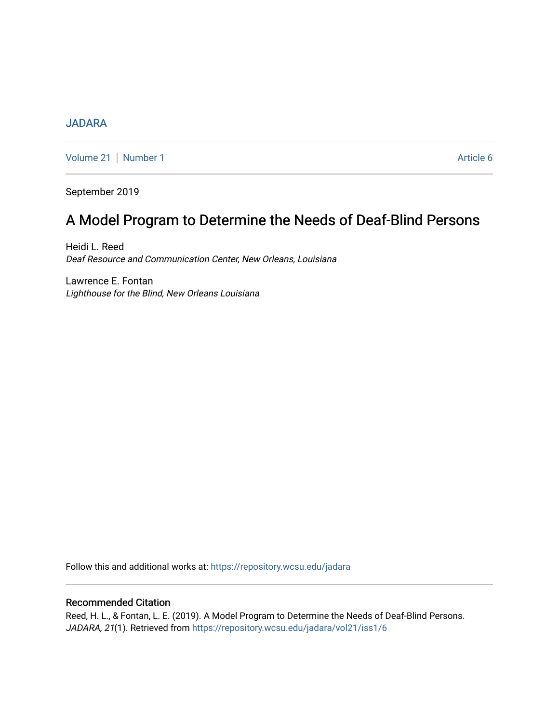## [JADARA](https://repository.wcsu.edu/jadara)

[Volume 21](https://repository.wcsu.edu/jadara/vol21) | [Number 1](https://repository.wcsu.edu/jadara/vol21/iss1) Article 6

September 2019

# A Model Program to Determine the Needs of Deaf-Blind Persons

Heidi L. Reed Deaf Resource and Communication Center, New Orleans, Louisiana

Lawrence E. Fontan Lighthouse for the Blind, New Orleans Louisiana

Follow this and additional works at: [https://repository.wcsu.edu/jadara](https://repository.wcsu.edu/jadara?utm_source=repository.wcsu.edu%2Fjadara%2Fvol21%2Fiss1%2F6&utm_medium=PDF&utm_campaign=PDFCoverPages)

## Recommended Citation

Reed, H. L., & Fontan, L. E. (2019). A Model Program to Determine the Needs of Deaf-Blind Persons. JADARA, 21(1). Retrieved from [https://repository.wcsu.edu/jadara/vol21/iss1/6](https://repository.wcsu.edu/jadara/vol21/iss1/6?utm_source=repository.wcsu.edu%2Fjadara%2Fvol21%2Fiss1%2F6&utm_medium=PDF&utm_campaign=PDFCoverPages)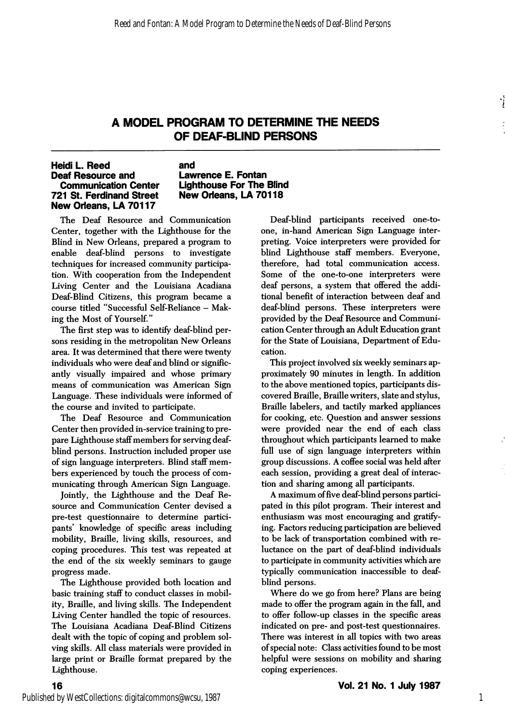## A MODEL PROGRAM TO DETERMINE THE NEEDS OF DEAF-BLIND PERSONS

### Heidi L. Reed Deaf Resource and Communication Center 721 St. Ferdinand Street New Orleans, LA 70117

### and Lawrence E. Fontan Lighthouse For The Blind New Orleans, LA 70118

The Deaf Resource and Communication Center, together with the Lighthouse for the Blind in New Orleans, prepared a program to enable deaf-blind persons to investigate techniques for increased community participa tion. With cooperation from the Independent Living Center and the Louisiana Acadiana Deaf-Blind Citizens, this program became a course titled "Successful Self-Reliance - Mak ing the Most of Yourself."

The first step was to identify deaf-blind per sons residing in the metropolitan New Orleans area. It was determined that there were twenty individuals who were deaf and blind or signific antly visually impaired and whose primary means of communication was American Sign Language. These individuals were informed of the course and invited to participate.

The Deaf Resource and Communication Center then provided in-service training to pre pare Lighthouse staff members for serving deafblind persons. Instruction included proper use of sign language interpreters. Blind staff mem bers experienced by touch the process of com municating through American Sign Language.

Jointly, the Lighthouse and the Deaf Re source and Communication Center devised a pre-test questionnaire to determine partici pants' knowledge of specific areas including mobility. Braille, living skills, resources, and coping procedures. This test was repeated at the end of the six weekly seminars to gauge progress made.

The Lighthouse provided both location and basic training staff to conduct classes in mobil ity, Braille, and living skills. The Independent Living Center handled the topic of resources. The Louisiana Acadiana Deaf-Blind Citizens dealt with the topic of coping and problem sol ving skills. All class materials were provided in large print or Braille format prepared by the Lighthouse.

Deaf-blind participants received one-toone, in-hand American Sign Language inter preting. Voice interpreters were provided for blind Lighthouse staff members. Everyone, therefore, had total communication access. Some of the one-to-one interpreters were deaf persons, a system that offered the addi tional benefit of interaction between deaf and deaf-blind persons. These interpreters were provided by the Deaf Resource and Communi cation Center through an Adult Education grant for the State of Louisiana, Department of Edu cation.

This project involved six weekly seminars ap proximately 90 minutes in length. In addition to the above mentioned topics, participants dis covered Braille, Braille writers, slate and stylus. Braille labelers, and tactily marked appliances for cooking, etc. Question and answer sessions were provided near the end of each class throughout which participants learned to make full use of sign language interpreters within group discussions. A coffee social was held after each session, providing a great deal of interac tion and sharing among all participants.

A maximum of five deaf-blind persons partici pated in this pilot program. Their interest and enthusiasm was most encouraging and gratify ing. Factors reducing participation are believed to be lack of transportation combined with re luctance on the part of deaf-blind individuals to participate in community activities which are typically communication inaccessible to deafblind persons.

Where do we go from here? Plans are being made to offer the program again in the fall, and to offer follow-up classes in the specific areas indicated on pre- and post-test questionnaires. There was interest in all topics with two areas of special note: Class activities found to be most helpful were sessions on mobility and sharing coping experiences.

16